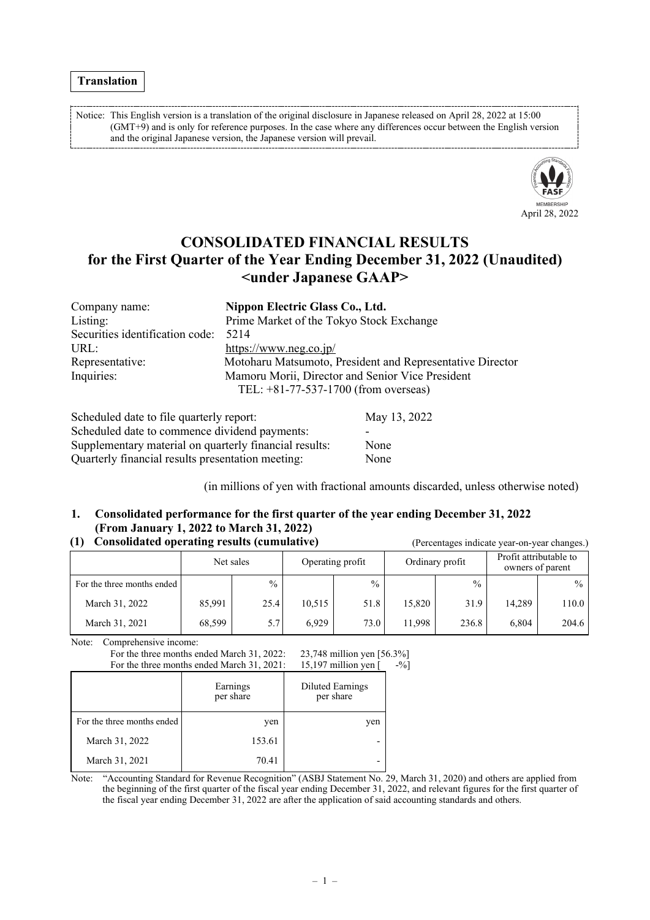Notice: This English version is a translation of the original disclosure in Japanese released on April 28, 2022 at 15:00 (GMT+9) and is only for reference purposes. In the case where any differences occur between the English version and the original Japanese version, the Japanese version will prevail.



# **CONSOLIDATED FINANCIAL RESULTS for the First Quarter of the Year Ending December 31, 2022 (Unaudited) <under Japanese GAAP>**

| Company name:                   | Nippon Electric Glass Co., Ltd.                           |
|---------------------------------|-----------------------------------------------------------|
| Listing:                        | Prime Market of the Tokyo Stock Exchange                  |
| Securities identification code: | 5214                                                      |
| URL:                            | https://www.neg.co.jp/                                    |
| Representative:                 | Motoharu Matsumoto, President and Representative Director |
| Inquiries:                      | Mamoru Morii, Director and Senior Vice President          |
|                                 | TEL: $+81-77-537-1700$ (from overseas)                    |
|                                 |                                                           |
|                                 |                                                           |

| Scheduled date to file quarterly report:               | May 13, 2022 |
|--------------------------------------------------------|--------------|
| Scheduled date to commence dividend payments:          |              |
| Supplementary material on quarterly financial results: | None         |
| Quarterly financial results presentation meeting:      | None         |

(in millions of yen with fractional amounts discarded, unless otherwise noted)

### **1. Consolidated performance for the first quarter of the year ending December 31, 2022 (From January 1, 2022 to March 31, 2022)**

### **(1) Consolidated operating results (cumulative)** (Percentages indicate year-on-year changes.)

|                            | Net sales |               | Operating profit |      |        |               |        | Ordinary profit |  | Profit attributable to<br>owners of parent |
|----------------------------|-----------|---------------|------------------|------|--------|---------------|--------|-----------------|--|--------------------------------------------|
| For the three months ended |           | $\frac{0}{0}$ |                  | $\%$ |        | $\frac{0}{0}$ |        | $\frac{0}{0}$   |  |                                            |
| March 31, 2022             | 85,991    | 25.4          | 10,515           | 51.8 | 15,820 | 31.9          | 14.289 | 110.0           |  |                                            |
| March 31, 2021             | 68,599    | 5.7           | 6.929            | 73.0 | 11,998 | 236.8         | 6,804  | 204.6           |  |                                            |

Note: Comprehensive income:

|                            | For the three months ended March 31, 2022:<br>For the three months ended March 31, 2021: | 23,748 million yen [56.3%]<br>15,197 million yen [ | $-9/0$ |
|----------------------------|------------------------------------------------------------------------------------------|----------------------------------------------------|--------|
|                            | Earnings<br>per share                                                                    | <b>Diluted Earnings</b><br>per share               |        |
| For the three months ended | yen                                                                                      | yen                                                |        |
| March 31, 2022             | 153.61                                                                                   |                                                    |        |
| March 31, 2021             | 70.41                                                                                    |                                                    |        |

Note: "Accounting Standard for Revenue Recognition" (ASBJ Statement No. 29, March 31, 2020) and others are applied from the beginning of the first quarter of the fiscal year ending December 31, 2022, and relevant figures for the first quarter of the fiscal year ending December 31, 2022 are after the application of said accounting standards and others.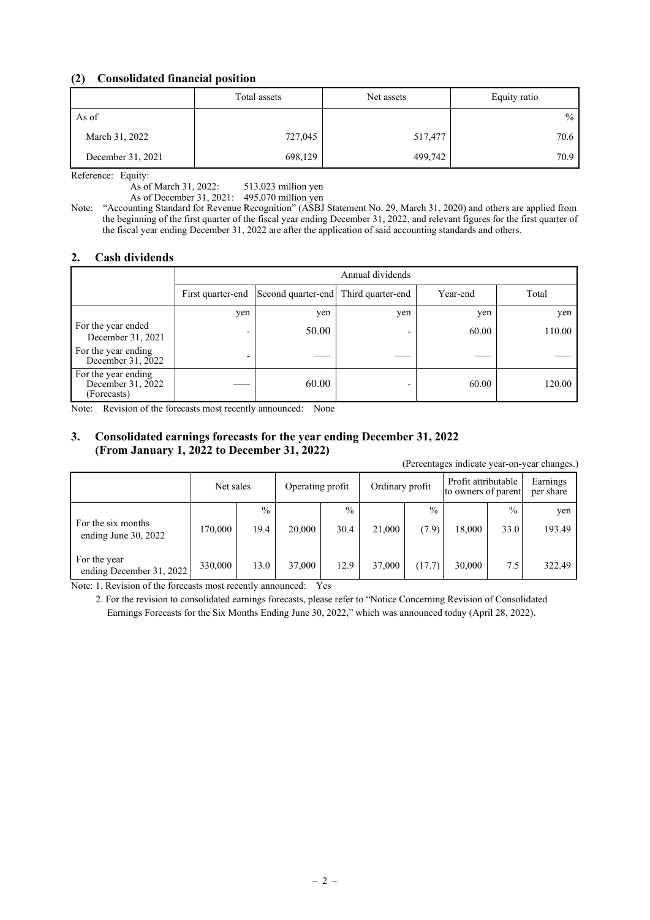### **(2) Consolidated financial position**

|                   | Total assets |         | Equity ratio  |  |
|-------------------|--------------|---------|---------------|--|
| As of             |              |         | $\frac{0}{0}$ |  |
| March 31, 2022    | 727,045      | 517,477 | 70.6          |  |
| December 31, 2021 | 698,129      | 499,742 | 70.9          |  |

Reference: Equity:

As of March 31, 2022: 513,023 million yen

As of December 31, 2021: 495,070 million yen

Note: "Accounting Standard for Revenue Recognition" (ASBJ Statement No. 29, March 31, 2020) and others are applied from the beginning of the first quarter of the fiscal year ending December 31, 2022, and relevant figures for the first quarter of the fiscal year ending December 31, 2022 are after the application of said accounting standards and others.

### **2. Cash dividends**

|                                                         |                                                                             | Annual dividends |                          |       |        |  |  |  |
|---------------------------------------------------------|-----------------------------------------------------------------------------|------------------|--------------------------|-------|--------|--|--|--|
|                                                         | First quarter-end Second quarter-end Third quarter-end<br>Total<br>Year-end |                  |                          |       |        |  |  |  |
|                                                         | yen                                                                         | yen              | yen                      | yen   | yen    |  |  |  |
| For the year ended<br>December 31, 2021                 |                                                                             | 50.00            | $\overline{\phantom{0}}$ | 60.00 | 110.00 |  |  |  |
| For the year ending<br>December 31, 2022                | $\overline{\phantom{0}}$                                                    |                  |                          |       |        |  |  |  |
| For the year ending<br>December 31, 2022<br>(Forecasts) |                                                                             | 60.00            |                          | 60.00 | 120.00 |  |  |  |

Note: Revision of the forecasts most recently announced: None

### **3. Consolidated earnings forecasts for the year ending December 31, 2022 (From January 1, 2022 to December 31, 2022)**

(Percentages indicate year-on-year changes.)

|                                              | Net sales |                       | Operating profit |                       | Ordinary profit |                        | Profit attributable<br>to owners of parent |                       | Earnings<br>per share |
|----------------------------------------------|-----------|-----------------------|------------------|-----------------------|-----------------|------------------------|--------------------------------------------|-----------------------|-----------------------|
| For the six months<br>ending June $30, 2022$ | 170,000   | $\frac{0}{0}$<br>19.4 | 20,000           | $\frac{0}{0}$<br>30.4 | 21,000          | $\frac{0}{0}$<br>(7.9) | 18,000                                     | $\frac{0}{0}$<br>33.0 | yen<br>193.49         |
| For the year<br>ending December 31, 2022     | 330,000   | 13.0                  | 37,000           | 12.9                  | 37,000          | (17.7)                 | 30,000                                     | 7.5                   | 322.49                |

Note: 1. Revision of the forecasts most recently announced: Yes

2. For the revision to consolidated earnings forecasts, please refer to "Notice Concerning Revision of Consolidated Earnings Forecasts for the Six Months Ending June 30, 2022," which was announced today (April 28, 2022).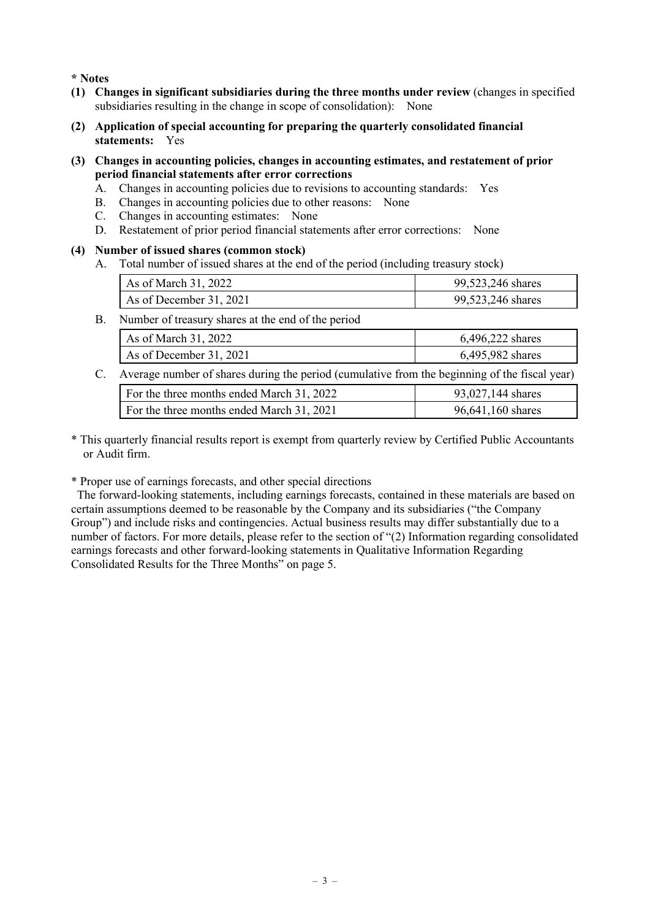**\* Notes**

- **(1) Changes in significant subsidiaries during the three months under review** (changes in specified subsidiaries resulting in the change in scope of consolidation): None
- **(2) Application of special accounting for preparing the quarterly consolidated financial statements:** Yes
- **(3) Changes in accounting policies, changes in accounting estimates, and restatement of prior period financial statements after error corrections**
	- A. Changes in accounting policies due to revisions to accounting standards: Yes
	- B. Changes in accounting policies due to other reasons: None
	- C. Changes in accounting estimates: None
	- D. Restatement of prior period financial statements after error corrections: None

### **(4) Number of issued shares (common stock)**

A. Total number of issued shares at the end of the period (including treasury stock)

| As of March 31, 2022    | 99,523,246 shares |
|-------------------------|-------------------|
| As of December 31, 2021 | 99,523,246 shares |

B. Number of treasury shares at the end of the period

| As of March 31, 2022    | 6,496,222 shares |
|-------------------------|------------------|
| As of December 31, 2021 | 6,495,982 shares |

C. Average number of shares during the period (cumulative from the beginning of the fiscal year)

| For the three months ended March 31, 2022 | 93,027,144 shares |
|-------------------------------------------|-------------------|
| For the three months ended March 31, 2021 | 96,641,160 shares |
|                                           |                   |

\* This quarterly financial results report is exempt from quarterly review by Certified Public Accountants or Audit firm.

\* Proper use of earnings forecasts, and other special directions

The forward-looking statements, including earnings forecasts, contained in these materials are based on certain assumptions deemed to be reasonable by the Company and its subsidiaries ("the Company Group") and include risks and contingencies. Actual business results may differ substantially due to a number of factors. For more details, please refer to the section of "(2) Information regarding consolidated earnings forecasts and other forward-looking statements in Qualitative Information Regarding Consolidated Results for the Three Months" on page 5.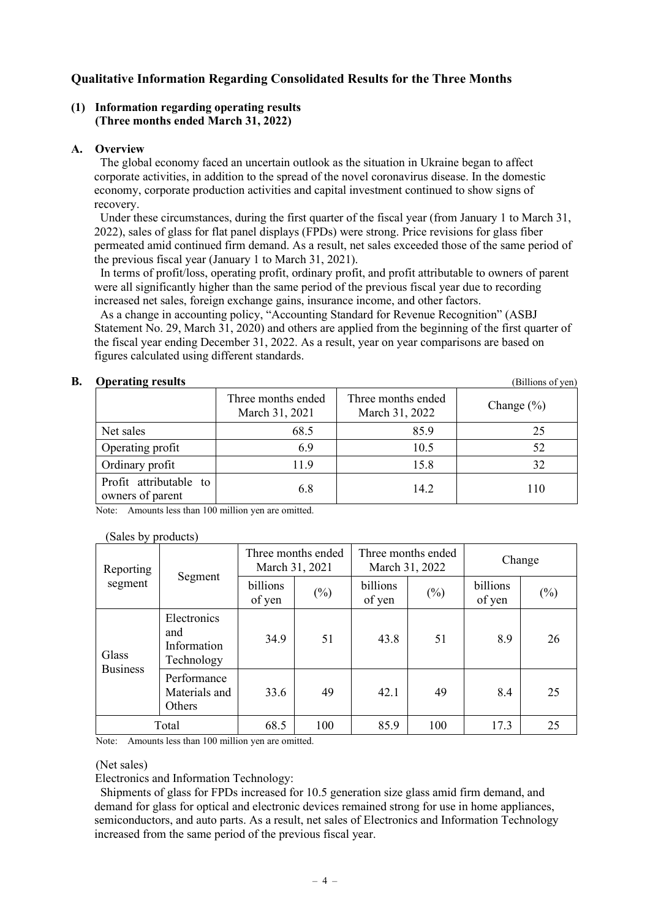### **Qualitative Information Regarding Consolidated Results for the Three Months**

### **(1) Information regarding operating results (Three months ended March 31, 2022)**

### **A. Overview**

The global economy faced an uncertain outlook as the situation in Ukraine began to affect corporate activities, in addition to the spread of the novel coronavirus disease. In the domestic economy, corporate production activities and capital investment continued to show signs of recovery.

Under these circumstances, during the first quarter of the fiscal year (from January 1 to March 31, 2022), sales of glass for flat panel displays (FPDs) were strong. Price revisions for glass fiber permeated amid continued firm demand. As a result, net sales exceeded those of the same period of the previous fiscal year (January 1 to March 31, 2021).

In terms of profit/loss, operating profit, ordinary profit, and profit attributable to owners of parent were all significantly higher than the same period of the previous fiscal year due to recording increased net sales, foreign exchange gains, insurance income, and other factors.

As a change in accounting policy, "Accounting Standard for Revenue Recognition" (ASBJ Statement No. 29, March 31, 2020) and others are applied from the beginning of the first quarter of the fiscal year ending December 31, 2022. As a result, year on year comparisons are based on figures calculated using different standards.

**B. Operating results** (Billions of yen) Three months ended March 31, 2021 Three months ended March 31, 2022 Change (%) Net sales 68.5 85.9 25 Operating profit  $6.9$  10.5 52 Ordinary profit 11.9 15.8 32 Profit attributable to owners of parent 110

Note: Amounts less than 100 million yen are omitted.

### (Sales by products)

| Reporting                |                                                 | Three months ended<br>March 31, 2021 |        | Three months ended | March 31, 2022 | Change             |        |
|--------------------------|-------------------------------------------------|--------------------------------------|--------|--------------------|----------------|--------------------|--------|
| segment                  | Segment                                         | billions<br>of yen                   | $(\%)$ | billions<br>of yen | $(\%)$         | billions<br>of yen | $(\%)$ |
| Glass<br><b>Business</b> | Electronics<br>and<br>Information<br>Technology | 34.9                                 | 51     | 43.8               | 51             | 8.9                | 26     |
|                          | Performance<br>Materials and<br>Others          | 33.6                                 | 49     | 42.1               | 49             | 8.4                | 25     |
| Total                    |                                                 | 68.5                                 | 100    | 85.9               | 100            | 17.3               | 25     |

Note: Amounts less than 100 million yen are omitted.

### (Net sales)

Electronics and Information Technology:

Shipments of glass for FPDs increased for 10.5 generation size glass amid firm demand, and demand for glass for optical and electronic devices remained strong for use in home appliances, semiconductors, and auto parts. As a result, net sales of Electronics and Information Technology increased from the same period of the previous fiscal year.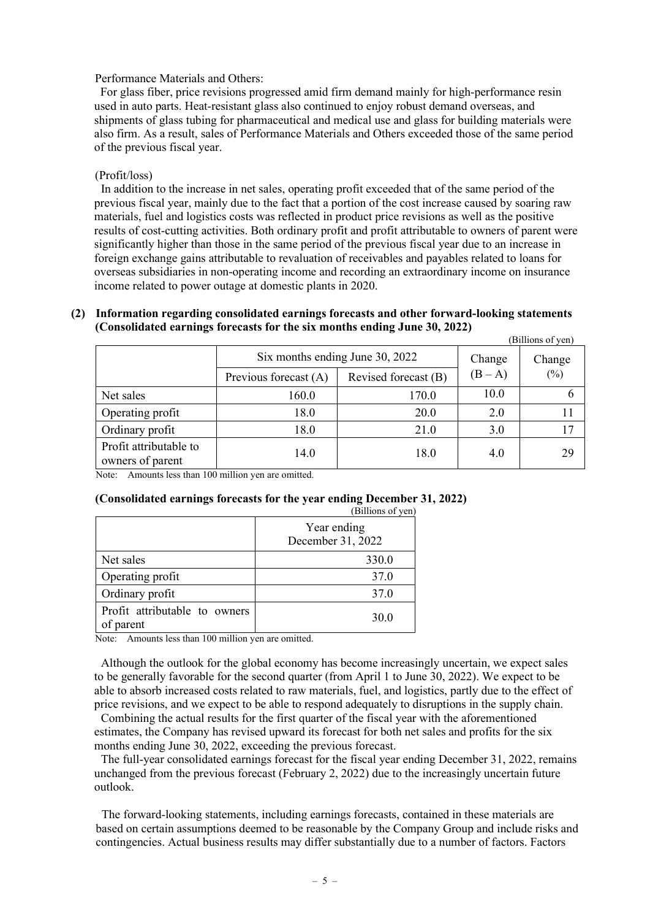### Performance Materials and Others:

For glass fiber, price revisions progressed amid firm demand mainly for high-performance resin used in auto parts. Heat-resistant glass also continued to enjoy robust demand overseas, and shipments of glass tubing for pharmaceutical and medical use and glass for building materials were also firm. As a result, sales of Performance Materials and Others exceeded those of the same period of the previous fiscal year.

### (Profit/loss)

In addition to the increase in net sales, operating profit exceeded that of the same period of the previous fiscal year, mainly due to the fact that a portion of the cost increase caused by soaring raw materials, fuel and logistics costs was reflected in product price revisions as well as the positive results of cost-cutting activities. Both ordinary profit and profit attributable to owners of parent were significantly higher than those in the same period of the previous fiscal year due to an increase in foreign exchange gains attributable to revaluation of receivables and payables related to loans for overseas subsidiaries in non-operating income and recording an extraordinary income on insurance income related to power outage at domestic plants in 2020.

| (2) Information regarding consolidated earnings forecasts and other forward-looking statements |                  |
|------------------------------------------------------------------------------------------------|------------------|
| (Consolidated earnings forecasts for the six months ending June 30, 2022)                      |                  |
|                                                                                                | (Dillone of von) |

|                                            |                                 |                      |         | (DHHUIIS UI YUII) |
|--------------------------------------------|---------------------------------|----------------------|---------|-------------------|
|                                            | Six months ending June 30, 2022 |                      | Change  | Change            |
|                                            | Previous forecast (A)           | Revised forecast (B) | $(B-A)$ | (%)               |
| Net sales                                  | 160.0                           | 170.0                | 10.0    |                   |
| Operating profit                           | 18.0                            | 20.0                 | 2.0     |                   |
| Ordinary profit                            | 18.0                            | 21.0                 | 3.0     | 17                |
| Profit attributable to<br>owners of parent | 14.0                            | 18.0                 | 4.0     | 29                |

Note: Amounts less than 100 million yen are omitted.

### **(Consolidated earnings forecasts for the year ending December 31, 2022)**

|                                            | (Billions of yen)                |
|--------------------------------------------|----------------------------------|
|                                            | Year ending<br>December 31, 2022 |
| Net sales                                  | 330.0                            |
| Operating profit                           | 37.0                             |
| Ordinary profit                            | 37.0                             |
| Profit attributable to owners<br>of parent | 30.0                             |

Note: Amounts less than 100 million yen are omitted.

Although the outlook for the global economy has become increasingly uncertain, we expect sales to be generally favorable for the second quarter (from April 1 to June 30, 2022). We expect to be able to absorb increased costs related to raw materials, fuel, and logistics, partly due to the effect of price revisions, and we expect to be able to respond adequately to disruptions in the supply chain.

Combining the actual results for the first quarter of the fiscal year with the aforementioned estimates, the Company has revised upward its forecast for both net sales and profits for the six months ending June 30, 2022, exceeding the previous forecast.

The full-year consolidated earnings forecast for the fiscal year ending December 31, 2022, remains unchanged from the previous forecast (February 2, 2022) due to the increasingly uncertain future outlook.

The forward-looking statements, including earnings forecasts, contained in these materials are based on certain assumptions deemed to be reasonable by the Company Group and include risks and contingencies. Actual business results may differ substantially due to a number of factors. Factors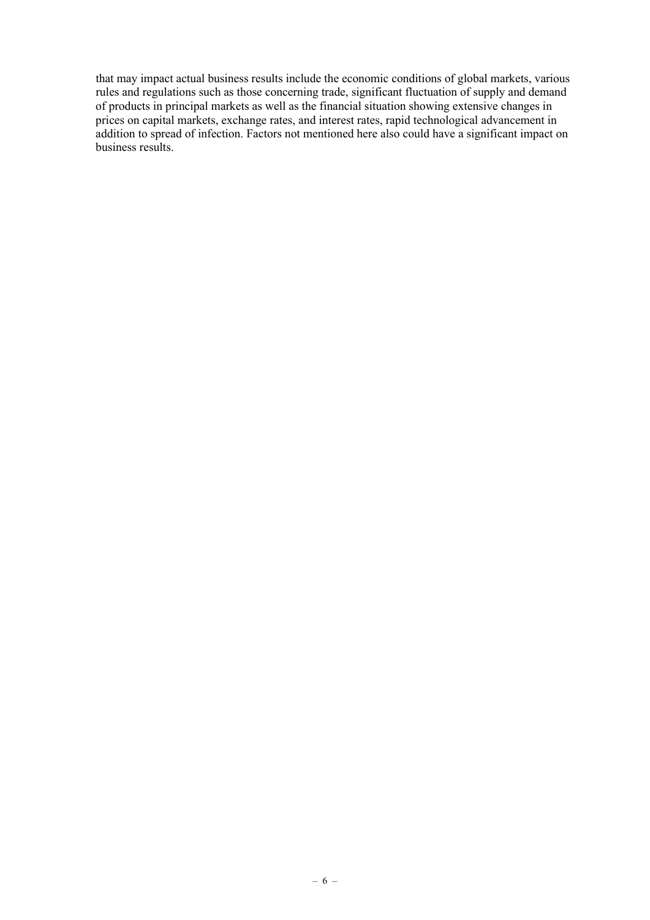that may impact actual business results include the economic conditions of global markets, various rules and regulations such as those concerning trade, significant fluctuation of supply and demand of products in principal markets as well as the financial situation showing extensive changes in prices on capital markets, exchange rates, and interest rates, rapid technological advancement in addition to spread of infection. Factors not mentioned here also could have a significant impact on business results.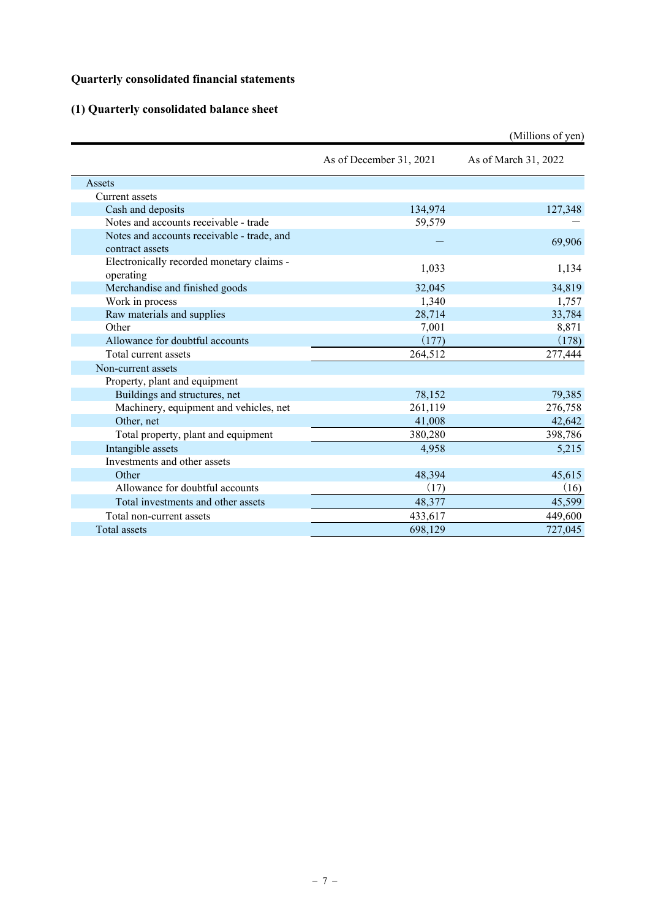## **Quarterly consolidated financial statements**

# **(1) Quarterly consolidated balance sheet**

|                                                        |                         | (Millions of yen)    |
|--------------------------------------------------------|-------------------------|----------------------|
|                                                        | As of December 31, 2021 | As of March 31, 2022 |
| Assets                                                 |                         |                      |
| Current assets                                         |                         |                      |
| Cash and deposits                                      | 134,974                 | 127,348              |
| Notes and accounts receivable - trade                  | 59,579                  |                      |
| Notes and accounts receivable - trade, and             |                         | 69,906               |
| contract assets                                        |                         |                      |
| Electronically recorded monetary claims -<br>operating | 1,033                   | 1,134                |
| Merchandise and finished goods                         | 32,045                  | 34,819               |
| Work in process                                        | 1,340                   | 1,757                |
| Raw materials and supplies                             | 28,714                  | 33,784               |
| Other                                                  | 7,001                   | 8,871                |
| Allowance for doubtful accounts                        | (177)                   | (178)                |
| Total current assets                                   | 264,512                 | 277,444              |
| Non-current assets                                     |                         |                      |
| Property, plant and equipment                          |                         |                      |
| Buildings and structures, net                          | 78,152                  | 79,385               |
| Machinery, equipment and vehicles, net                 | 261,119                 | 276,758              |
| Other, net                                             | 41,008                  | 42,642               |
| Total property, plant and equipment                    | 380,280                 | 398,786              |
| Intangible assets                                      | 4,958                   | 5,215                |
| Investments and other assets                           |                         |                      |
| Other                                                  | 48,394                  | 45,615               |
| Allowance for doubtful accounts                        | (17)                    | (16)                 |
| Total investments and other assets                     | 48,377                  | 45,599               |
| Total non-current assets                               | 433,617                 | 449,600              |
| Total assets                                           | 698,129                 | 727,045              |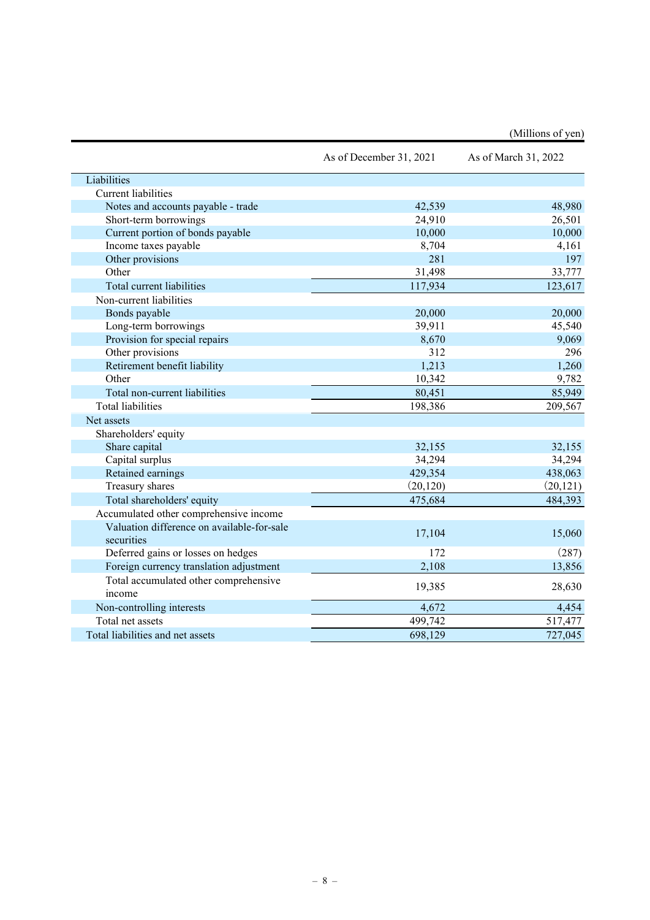|                                                 | As of December 31, 2021 | As of March 31, 2022 |
|-------------------------------------------------|-------------------------|----------------------|
| Liabilities                                     |                         |                      |
| <b>Current</b> liabilities                      |                         |                      |
| Notes and accounts payable - trade              | 42,539                  | 48,980               |
| Short-term borrowings                           | 24,910                  | 26,501               |
| Current portion of bonds payable                | 10,000                  | 10,000               |
| Income taxes payable                            | 8,704                   | 4,161                |
| Other provisions                                | 281                     | 197                  |
| Other                                           | 31,498                  | 33,777               |
| Total current liabilities                       | 117,934                 | 123,617              |
| Non-current liabilities                         |                         |                      |
| Bonds payable                                   | 20,000                  | 20,000               |
| Long-term borrowings                            | 39,911                  | 45,540               |
| Provision for special repairs                   | 8,670                   | 9,069                |
| Other provisions                                | 312                     | 296                  |
| Retirement benefit liability                    | 1,213                   | 1,260                |
| Other                                           | 10,342                  | 9,782                |
| Total non-current liabilities                   | 80,451                  | 85,949               |
| <b>Total liabilities</b>                        | 198,386                 | 209,567              |
| Net assets                                      |                         |                      |
| Shareholders' equity                            |                         |                      |
| Share capital                                   | 32,155                  | 32,155               |
| Capital surplus                                 | 34,294                  | 34,294               |
| Retained earnings                               | 429,354                 | 438,063              |
| Treasury shares                                 | (20, 120)               | (20, 121)            |
| Total shareholders' equity                      | 475,684                 | 484,393              |
| Accumulated other comprehensive income          |                         |                      |
| Valuation difference on available-for-sale      |                         |                      |
| securities                                      | 17,104                  | 15,060               |
| Deferred gains or losses on hedges              | 172                     | (287)                |
| Foreign currency translation adjustment         | 2,108                   | 13,856               |
| Total accumulated other comprehensive<br>income | 19,385                  | 28,630               |
| Non-controlling interests                       | 4,672                   | 4,454                |
| Total net assets                                | 499,742                 | 517,477              |
| Total liabilities and net assets                | 698,129                 | 727,045              |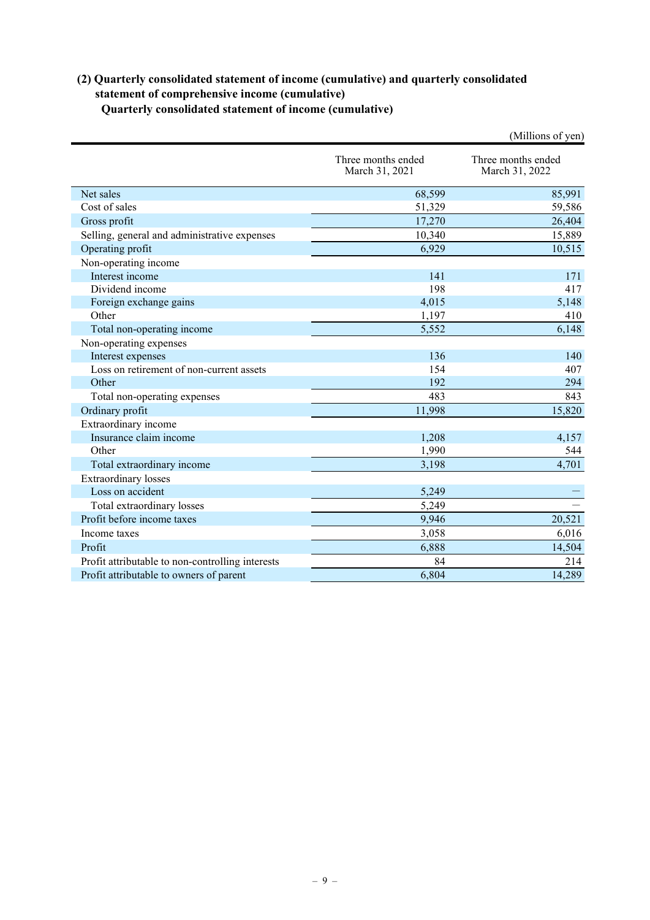### **(2) Quarterly consolidated statement of income (cumulative) and quarterly consolidated statement of comprehensive income (cumulative) Quarterly consolidated statement of income (cumulative)**

|                                                  |                                      | (Millions of yen)                    |
|--------------------------------------------------|--------------------------------------|--------------------------------------|
|                                                  | Three months ended<br>March 31, 2021 | Three months ended<br>March 31, 2022 |
| Net sales                                        | 68,599                               | 85,991                               |
| Cost of sales                                    | 51,329                               | 59,586                               |
| Gross profit                                     | 17,270                               | 26,404                               |
| Selling, general and administrative expenses     | 10,340                               | 15,889                               |
| Operating profit                                 | 6,929                                | 10,515                               |
| Non-operating income                             |                                      |                                      |
| Interest income                                  | 141                                  | 171                                  |
| Dividend income                                  | 198                                  | 417                                  |
| Foreign exchange gains                           | 4,015                                | 5,148                                |
| Other                                            | 1,197                                | 410                                  |
| Total non-operating income                       | 5,552                                | 6,148                                |
| Non-operating expenses                           |                                      |                                      |
| Interest expenses                                | 136                                  | 140                                  |
| Loss on retirement of non-current assets         | 154                                  | 407                                  |
| Other                                            | 192                                  | 294                                  |
| Total non-operating expenses                     | 483                                  | 843                                  |
| Ordinary profit                                  | 11,998                               | 15,820                               |
| Extraordinary income                             |                                      |                                      |
| Insurance claim income                           | 1,208                                | 4,157                                |
| Other                                            | 1,990                                | 544                                  |
| Total extraordinary income                       | 3,198                                | 4,701                                |
| <b>Extraordinary</b> losses                      |                                      |                                      |
| Loss on accident                                 | 5,249                                |                                      |
| Total extraordinary losses                       | 5,249                                |                                      |
| Profit before income taxes                       | 9,946                                | 20,521                               |
| Income taxes                                     | 3,058                                | 6,016                                |
| Profit                                           | 6,888                                | 14,504                               |
| Profit attributable to non-controlling interests | 84                                   | 214                                  |
| Profit attributable to owners of parent          | 6,804                                | 14,289                               |